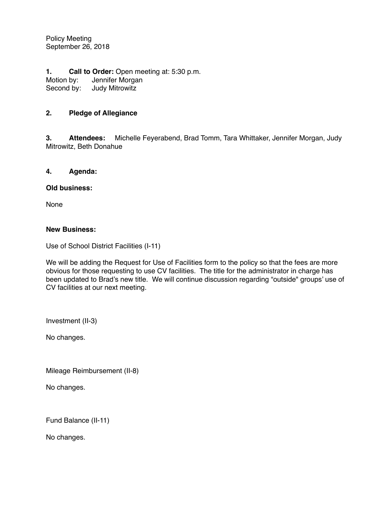Policy Meeting September 26, 2018

**1. Call to Order:** Open meeting at: 5:30 p.m. Motion by: Jennifer Morgan<br>Second by: Judy Mitrowitz **Judy Mitrowitz** 

## **2. Pledge of Allegiance**

**3. Attendees:** Michelle Feyerabend, Brad Tomm, Tara Whittaker, Jennifer Morgan, Judy Mitrowitz, Beth Donahue

## **4. Agenda:**

## **Old business:**

None

## **New Business:**

Use of School District Facilities (I-11)

We will be adding the Request for Use of Facilities form to the policy so that the fees are more obvious for those requesting to use CV facilities. The title for the administrator in charge has been updated to Brad's new title. We will continue discussion regarding "outside" groups' use of CV facilities at our next meeting.

Investment (II-3)

No changes.

Mileage Reimbursement (II-8)

No changes.

Fund Balance (II-11)

No changes.